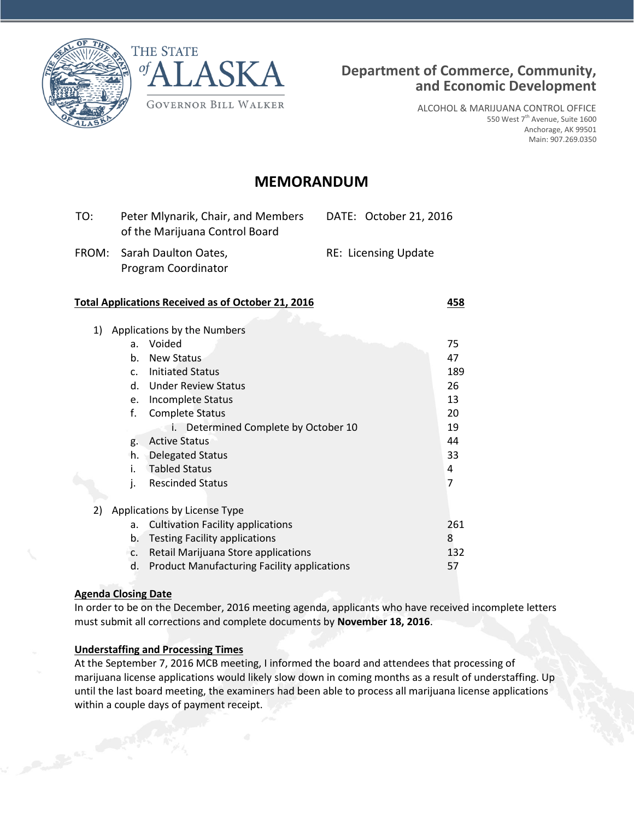



ALCOHOL & MARIJUANA CONTROL OFFICE 550 West 7<sup>th</sup> Avenue, Suite 1600 Anchorage, AK 99501 Main: 907.269.0350

# **MEMORANDUM**

| TO: | Peter Mlynarik, Chair, and Members<br>of the Marijuana Control Board | DATE: October 21, 2016      |
|-----|----------------------------------------------------------------------|-----------------------------|
|     | FROM: Sarah Daulton Oates,<br>Program Coordinator                    | <b>RE: Licensing Update</b> |

#### **Total Applications Received as of October 21, 2016 458**

| 1) | Applications by the Numbers  |                                                    |     |  |
|----|------------------------------|----------------------------------------------------|-----|--|
|    | a.                           | Voided                                             | 75  |  |
|    | b.                           | <b>New Status</b>                                  | 47  |  |
|    | C.                           | <b>Initiated Status</b>                            | 189 |  |
|    | d.                           | <b>Under Review Status</b>                         | 26  |  |
|    | e.                           | Incomplete Status                                  | 13  |  |
|    | f.                           | <b>Complete Status</b>                             | 20  |  |
|    |                              | Determined Complete by October 10<br>İ.            | 19  |  |
|    | g.                           | <b>Active Status</b>                               | 44  |  |
|    | h.                           | <b>Delegated Status</b>                            | 33  |  |
|    | i.                           | <b>Tabled Status</b>                               | 4   |  |
|    | j.                           | <b>Rescinded Status</b>                            | 7   |  |
|    |                              |                                                    |     |  |
| 2) | Applications by License Type |                                                    |     |  |
|    | a.                           | <b>Cultivation Facility applications</b>           | 261 |  |
|    | b.                           | <b>Testing Facility applications</b>               | 8   |  |
|    | C.                           | Retail Marijuana Store applications                | 132 |  |
|    | d.                           | <b>Product Manufacturing Facility applications</b> | 57  |  |

### **Agenda Closing Date**

In order to be on the December, 2016 meeting agenda, applicants who have received incomplete letters must submit all corrections and complete documents by **November 18, 2016**.

### **Understaffing and Processing Times**

At the September 7, 2016 MCB meeting, I informed the board and attendees that processing of marijuana license applications would likely slow down in coming months as a result of understaffing. Up until the last board meeting, the examiners had been able to process all marijuana license applications within a couple days of payment receipt.